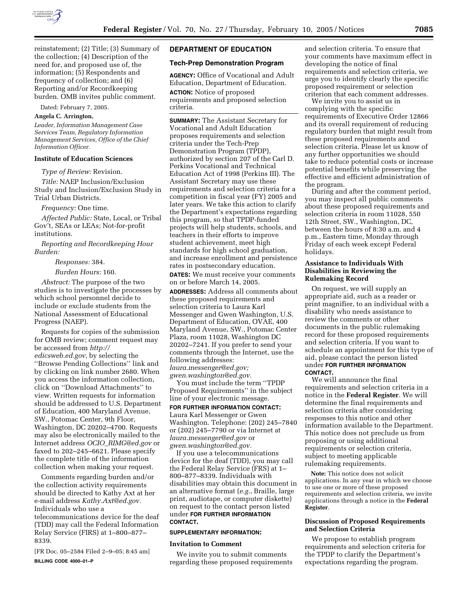

reinstatement; (2) Title; (3) Summary of the collection; (4) Description of the need for, and proposed use of, the information; (5) Respondents and frequency of collection; and (6) Reporting and/or Recordkeeping burden. OMB invites public comment.

Dated: February 7, 2005.

### **Angela C. Arrington,**

*Leader, Information Management Case Services Team, Regulatory Information Management Services, Office of the Chief Information Officer.*

# **Institute of Education Sciences**

*Type of Review:* Revision.

*Title:* NAEP Inclusion/Exclusion Study and Inclusion/Exclusion Study in Trial Urban Districts.

*Frequency:* One time.

*Affected Public:* State, Local, or Tribal Gov't, SEAs or LEAs; Not-for-profit institutions.

*Reporting and Recordkeeping Hour Burden:*

*Responses:* 384.

*Burden Hours:* 160.

*Abstract:* The purpose of the two studies is to investigate the processes by which school personnel decide to include or exclude students from the National Assessment of Educational Progress (NAEP).

Requests for copies of the submission for OMB review; comment request may be accessed from *http:// edicsweb.ed.gov,* by selecting the ''Browse Pending Collections'' link and by clicking on link number 2680. When you access the information collection, click on ''Download Attachments'' to view. Written requests for information should be addressed to U.S. Department of Education, 400 Maryland Avenue, SW., Potomac Center, 9th Floor, Washington, DC 20202–4700. Requests may also be electronically mailed to the Internet address *OCIO*\_*RIMG@ed.gov* or faxed to 202–245–6621. Please specify the complete title of the information collection when making your request.

Comments regarding burden and/or the collection activity requirements should be directed to Kathy Axt at her e-mail address *Kathy.Axt@ed.gov.* Individuals who use a telecommunications device for the deaf (TDD) may call the Federal Information

Relay Service (FIRS) at 1–800–877– 8339.

[FR Doc. 05–2584 Filed 2–9–05; 8:45 am] **BILLING CODE 4000–01–P**

### **DEPARTMENT OF EDUCATION**

#### **Tech-Prep Demonstration Program**

**AGENCY:** Office of Vocational and Adult Education, Department of Education.

**ACTION:** Notice of proposed requirements and proposed selection criteria.

**SUMMARY:** The Assistant Secretary for Vocational and Adult Education proposes requirements and selection criteria under the Tech-Prep Demonstration Program (TPDP), authorized by section 207 of the Carl D. Perkins Vocational and Technical Education Act of 1998 (Perkins III). The Assistant Secretary may use these requirements and selection criteria for a competition in fiscal year (FY) 2005 and later years. We take this action to clarify the Department's expectations regarding this program, so that TPDP-funded projects will help students, schools, and teachers in their efforts to improve student achievement, meet high standards for high school graduation, and increase enrollment and persistence rates in postsecondary education.

**DATES:** We must receive your comments on or before March 14, 2005.

**ADDRESSES:** Address all comments about these proposed requirements and selection criteria to Laura Karl Messenger and Gwen Washington, U.S. Department of Education, OVAE, 400 Maryland Avenue, SW., Potomac Center Plaza, room 11028, Washington DC 20202–7241. If you prefer to send your comments through the Internet, use the following addresses: *laura.messenger@ed.gov;* 

*gwen.washington@ed.gov.*

You must include the term ''TPDP Proposed Requirements'' in the subject line of your electronic message.

### **FOR FURTHER INFORMATION CONTACT:**

Laura Karl Messenger or Gwen Washington. Telephone: (202) 245–7840 or (202) 245–7790 or via Internet at *laura.messenger@ed.gov* or *gwen.washington@ed.gov.*

If you use a telecommunications device for the deaf (TDD), you may call the Federal Relay Service (FRS) at 1– 800–877–8339. Individuals with disabilities may obtain this document in an alternative format (*e.g.*, Braille, large print, audiotape, or computer diskette) on request to the contact person listed under **FOR FURTHER INFORMATION CONTACT.**

#### **SUPPLEMENTARY INFORMATION:**

#### **Invitation to Comment**

We invite you to submit comments regarding these proposed requirements

and selection criteria. To ensure that your comments have maximum effect in developing the notice of final requirements and selection criteria, we urge you to identify clearly the specific proposed requirement or selection criterion that each comment addresses.

We invite you to assist us in complying with the specific requirements of Executive Order 12866 and its overall requirement of reducing regulatory burden that might result from these proposed requirements and selection criteria. Please let us know of any further opportunities we should take to reduce potential costs or increase potential benefits while preserving the effective and efficient administration of the program.

During and after the comment period, you may inspect all public comments about these proposed requirements and selection criteria in room 11028, 550 12th Street, SW., Washington, DC, between the hours of 8:30 a.m. and 4 p.m., Eastern time, Monday through Friday of each week except Federal holidays.

### **Assistance to Individuals With Disabilities in Reviewing the Rulemaking Record**

On request, we will supply an appropriate aid, such as a reader or print magnifier, to an individual with a disability who needs assistance to review the comments or other documents in the public rulemaking record for these proposed requirements and selection criteria. If you want to schedule an appointment for this type of aid, please contact the person listed under **FOR FURTHER INFORMATION CONTACT.**

We will announce the final requirements and selection criteria in a notice in the **Federal Register**. We will determine the final requirements and selection criteria after considering responses to this notice and other information available to the Department. This notice does not preclude us from proposing or using additional requirements or selection criteria, subject to meeting applicable rulemaking requirements.

**Note:** This notice does not solicit applications. In any year in which we choose to use one or more of these proposed requirements and selection criteria, we invite applications through a notice in the **Federal Register**.

## **Discussion of Proposed Requirements and Selection Criteria**

We propose to establish program requirements and selection criteria for the TPDP to clarify the Department's expectations regarding the program.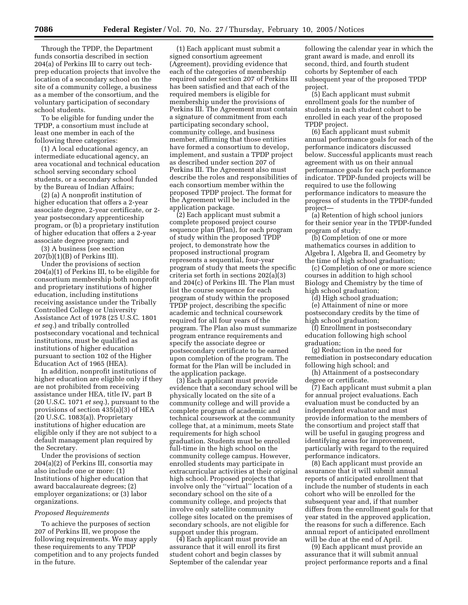Through the TPDP, the Department funds consortia described in section 204(a) of Perkins III to carry out techprep education projects that involve the location of a secondary school on the site of a community college, a business as a member of the consortium, and the voluntary participation of secondary school students.

To be eligible for funding under the TPDP, a consortium must include at least one member in each of the following three categories:

(1) A local educational agency, an intermediate educational agency, an area vocational and technical education school serving secondary school students, or a secondary school funded by the Bureau of Indian Affairs;

(2) (a) A nonprofit institution of higher education that offers a 2-year associate degree, 2-year certificate, or 2 year postsecondary apprenticeship program, or (b) a proprietary institution of higher education that offers a 2-year associate degree program; and

(3) A business (see section 207(b)(1)(B) of Perkins III).

Under the provisions of section 204(a)(1) of Perkins III, to be eligible for consortium membership both nonprofit and proprietary institutions of higher education, including institutions receiving assistance under the Tribally Controlled College or University Assistance Act of 1978 (25 U.S.C. 1801 *et seq.*) and tribally controlled postsecondary vocational and technical institutions, must be qualified as institutions of higher education pursuant to section 102 of the Higher Education Act of 1965 (HEA).

In addition, nonprofit institutions of higher education are eligible only if they are not prohibited from receiving assistance under HEA, title IV, part B (20 U.S.C. 1071 *et seq.*), pursuant to the provisions of section 435(a)(3) of HEA (20 U.S.C. 1083(a)). Proprietary institutions of higher education are eligible only if they are not subject to a default management plan required by the Secretary.

Under the provisions of section 204(a)(2) of Perkins III, consortia may also include one or more: (1) Institutions of higher education that award baccalaureate degrees; (2) employer organizations; or (3) labor organizations.

#### *Proposed Requirements*

To achieve the purposes of section 207 of Perkins III, we propose the following requirements. We may apply these requirements to any TPDP competition and to any projects funded in the future.

(1) Each applicant must submit a signed consortium agreement (Agreement), providing evidence that each of the categories of membership required under section 207 of Perkins III has been satisfied and that each of the required members is eligible for membership under the provisions of Perkins III. The Agreement must contain a signature of commitment from each participating secondary school, community college, and business member, affirming that those entities have formed a consortium to develop, implement, and sustain a TPDP project as described under section 207 of Perkins III. The Agreement also must describe the roles and responsibilities of each consortium member within the proposed TPDP project. The format for the Agreement will be included in the application package.

(2) Each applicant must submit a complete proposed project course sequence plan (Plan), for each program of study within the proposed TPDP project, to demonstrate how the proposed instructional program represents a sequential, four-year program of study that meets the specific criteria set forth in sections 202(a)(3) and 204(c) of Perkins III. The Plan must list the course sequence for each program of study within the proposed TPDP project, describing the specific academic and technical coursework required for all four years of the program. The Plan also must summarize program entrance requirements and specify the associate degree or postsecondary certificate to be earned upon completion of the program. The format for the Plan will be included in the application package.

(3) Each applicant must provide evidence that a secondary school will be physically located on the site of a community college and will provide a complete program of academic and technical coursework at the community college that, at a minimum, meets State requirements for high school graduation. Students must be enrolled full-time in the high school on the community college campus. However, enrolled students may participate in extracurricular activities at their original high school. Proposed projects that involve only the ''virtual'' location of a secondary school on the site of a community college, and projects that involve only satellite community college sites located on the premises of secondary schools, are not eligible for support under this program.

(4) Each applicant must provide an assurance that it will enroll its first student cohort and begin classes by September of the calendar year

following the calendar year in which the grant award is made, and enroll its second, third, and fourth student cohorts by September of each subsequent year of the proposed TPDP project.

(5) Each applicant must submit enrollment goals for the number of students in each student cohort to be enrolled in each year of the proposed TPDP project.

(6) Each applicant must submit annual performance goals for each of the performance indicators discussed below. Successful applicants must reach agreement with us on their annual performance goals for each performance indicator. TPDP-funded projects will be required to use the following performance indicators to measure the progress of students in the TPDP-funded project—

(a) Retention of high school juniors for their senior year in the TPDP-funded program of study;

(b) Completion of one or more mathematics courses in addition to Algebra I, Algebra II, and Geometry by the time of high school graduation;

(c) Completion of one or more science courses in addition to high school Biology and Chemistry by the time of high school graduation;

(d) High school graduation;

(e) Attainment of nine or more postsecondary credits by the time of high school graduation;

(f) Enrollment in postsecondary education following high school graduation;

(g) Reduction in the need for remediation in postsecondary education following high school; and

(h) Attainment of a postsecondary degree or certificate.

(7) Each applicant must submit a plan for annual project evaluations. Each evaluation must be conducted by an independent evaluator and must provide information to the members of the consortium and project staff that will be useful in gauging progress and identifying areas for improvement, particularly with regard to the required performance indicators.

(8) Each applicant must provide an assurance that it will submit annual reports of anticipated enrollment that include the number of students in each cohort who will be enrolled for the subsequent year and, if that number differs from the enrollment goals for that year stated in the approved application, the reasons for such a difference. Each annual report of anticipated enrollment will be due at the end of April.

(9) Each applicant must provide an assurance that it will submit annual project performance reports and a final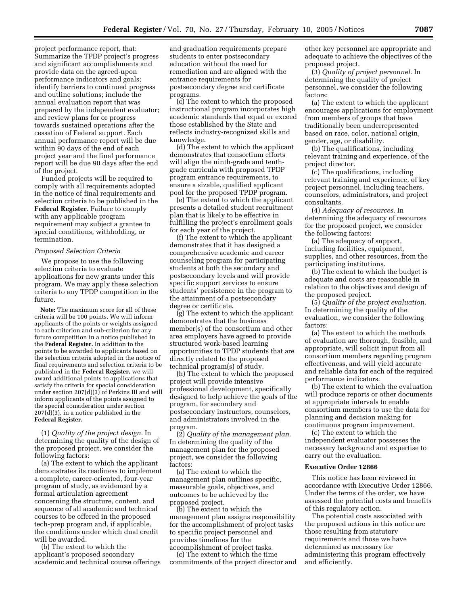project performance report, that: Summarize the TPDP project's progress and significant accomplishments and provide data on the agreed-upon performance indicators and goals; identify barriers to continued progress and outline solutions; include the annual evaluation report that was prepared by the independent evaluator; and review plans for or progress towards sustained operations after the cessation of Federal support. Each annual performance report will be due within 90 days of the end of each project year and the final performance report will be due 90 days after the end of the project.

Funded projects will be required to comply with all requirements adopted in the notice of final requirements and selection criteria to be published in the **Federal Register**. Failure to comply with any applicable program requirement may subject a grantee to special conditions, withholding, or termination.

#### *Proposed Selection Criteria*

We propose to use the following selection criteria to evaluate applications for new grants under this program. We may apply these selection criteria to any TPDP competition in the future.

**Note:** The maximum score for all of these criteria will be 100 points. We will inform applicants of the points or weights assigned to each criterion and sub-criterion for any future competition in a notice published in the **Federal Register.** In addition to the points to be awarded to applicants based on the selection criteria adopted in the notice of final requirements and selection criteria to be published in the **Federal Register,** we will award additional points to applications that satisfy the criteria for special consideration under section  $207(d)(3)$  of Perkins III and will inform applicants of the points assigned to the special consideration under section  $207(\bar{d})(3)$ , in a notice published in the **Federal Register.**

(1) *Quality of the project design.* In determining the quality of the design of the proposed project, we consider the following factors:

(a) The extent to which the applicant demonstrates its readiness to implement a complete, career-oriented, four-year program of study, as evidenced by a formal articulation agreement concerning the structure, content, and sequence of all academic and technical courses to be offered in the proposed tech-prep program and, if applicable, the conditions under which dual credit will be awarded.

(b) The extent to which the applicant's proposed secondary academic and technical course offerings

and graduation requirements prepare students to enter postsecondary education without the need for remediation and are aligned with the entrance requirements for postsecondary degree and certificate programs.

(c) The extent to which the proposed instructional program incorporates high academic standards that equal or exceed those established by the State and reflects industry-recognized skills and knowledge.

(d) The extent to which the applicant demonstrates that consortium efforts will align the ninth-grade and tenthgrade curricula with proposed TPDP program entrance requirements, to ensure a sizable, qualified applicant pool for the proposed TPDP program.

(e) The extent to which the applicant presents a detailed student recruitment plan that is likely to be effective in fulfilling the project's enrollment goals for each year of the project.

(f) The extent to which the applicant demonstrates that it has designed a comprehensive academic and career counseling program for participating students at both the secondary and postsecondary levels and will provide specific support services to ensure students' persistence in the program to the attainment of a postsecondary degree or certificate.

(g) The extent to which the applicant demonstrates that the business member(s) of the consortium and other area employers have agreed to provide structured work-based learning opportunities to TPDP students that are directly related to the proposed technical program(s) of study.

(h) The extent to which the proposed project will provide intensive professional development, specifically designed to help achieve the goals of the program, for secondary and postsecondary instructors, counselors, and administrators involved in the program.

(2) *Quality of the management plan.* In determining the quality of the management plan for the proposed project, we consider the following factors:

(a) The extent to which the management plan outlines specific, measurable goals, objectives, and outcomes to be achieved by the proposed project.

(b) The extent to which the management plan assigns responsibility for the accomplishment of project tasks to specific project personnel and provides timelines for the accomplishment of project tasks.

(c) The extent to which the time commitments of the project director and other key personnel are appropriate and adequate to achieve the objectives of the proposed project.

(3) *Quality of project personnel.* In determining the quality of project personnel, we consider the following factors:

(a) The extent to which the applicant encourages applications for employment from members of groups that have traditionally been underrepresented based on race, color, national origin, gender, age, or disability.

(b) The qualifications, including relevant training and experience, of the project director.

(c) The qualifications, including relevant training and experience, of key project personnel, including teachers, counselors, administrators, and project consultants.

(4) *Adequacy of resources.* In determining the adequacy of resources for the proposed project, we consider the following factors:

(a) The adequacy of support, including facilities, equipment, supplies, and other resources, from the participating institutions.

(b) The extent to which the budget is adequate and costs are reasonable in relation to the objectives and design of the proposed project.

(5) *Quality of the project evaluation.* In determining the quality of the evaluation, we consider the following factors:

(a) The extent to which the methods of evaluation are thorough, feasible, and appropriate, will solicit input from all consortium members regarding program effectiveness, and will yield accurate and reliable data for each of the required performance indicators.

(b) The extent to which the evaluation will produce reports or other documents at appropriate intervals to enable consortium members to use the data for planning and decision making for continuous program improvement.

(c) The extent to which the independent evaluator possesses the necessary background and expertise to carry out the evaluation.

### **Executive Order 12866**

This notice has been reviewed in accordance with Executive Order 12866. Under the terms of the order, we have assessed the potential costs and benefits of this regulatory action.

The potential costs associated with the proposed actions in this notice are those resulting from statutory requirements and those we have determined as necessary for administering this program effectively and efficiently.